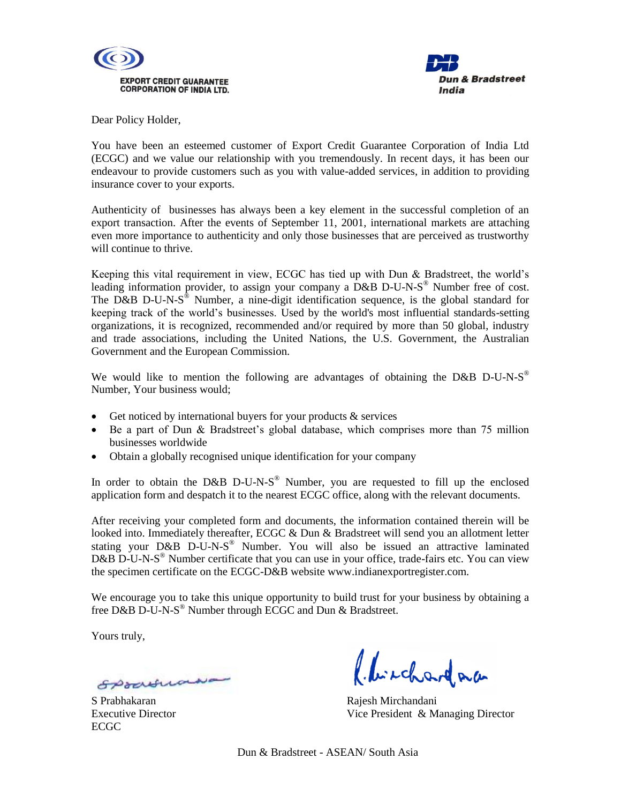



Dear Policy Holder,

You have been an esteemed customer of Export Credit Guarantee Corporation of India Ltd (ECGC) and we value our relationship with you tremendously. In recent days, it has been our endeavour to provide customers such as you with value-added services, in addition to providing insurance cover to your exports.

Authenticity of businesses has always been a key element in the successful completion of an export transaction. After the events of September 11, 2001, international markets are attaching even more importance to authenticity and only those businesses that are perceived as trustworthy will continue to thrive.

Keeping this vital requirement in view, ECGC has tied up with Dun & Bradstreet, the world's leading information provider, to assign your company a  $D&B$  D-U-N-S<sup>®</sup> Number free of cost. The D&B D-U-N-S<sup>®</sup> Number, a nine-digit identification sequence, is the global standard for keeping track of the world's businesses. Used by the world's most influential standards-setting organizations, it is recognized, recommended and/or required by more than 50 global, industry and trade associations, including the United Nations, the U.S. Government, the Australian Government and the European Commission.

We would like to mention the following are advantages of obtaining the D&B D-U-N-S<sup>®</sup> Number, Your business would;

- Get noticed by international buyers for your products  $\&$  services
- Be a part of Dun & Bradstreet's global database, which comprises more than 75 million businesses worldwide
- Obtain a globally recognised unique identification for your company

In order to obtain the D&B D-U-N-S<sup>®</sup> Number, you are requested to fill up the enclosed application form and despatch it to the nearest ECGC office, along with the relevant documents.

After receiving your completed form and documents, the information contained therein will be looked into. Immediately thereafter, ECGC & Dun & Bradstreet will send you an allotment letter stating your D&B D-U-N-S<sup>®</sup> Number. You will also be issued an attractive laminated D&B D-U-N-S<sup>®</sup> Number certificate that you can use in your office, trade-fairs etc. You can view the specimen certificate on the ECGC-D&B website [www.indianexportregister.com.](http://www.indianexportregister.com/)

We encourage you to take this unique opportunity to build trust for your business by obtaining a free D&B D-U-N-S<sup>®</sup> Number through ECGC and Dun & Bradstreet.

Yours truly,

Spranna

ECGC

Chichardna

S Prabhakaran **Rajesh Mirchandani** Executive Director Vice President & Managing Director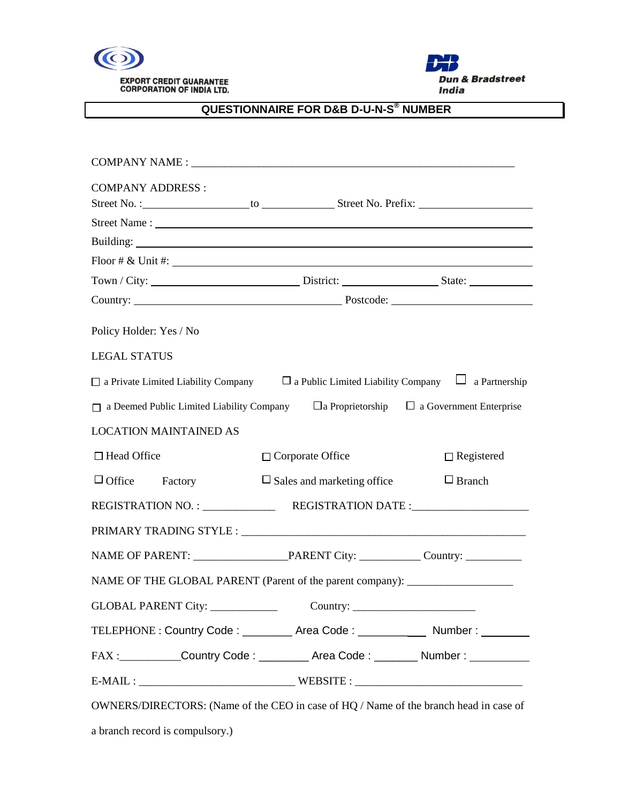



## **QUESTIONNAIRE FOR D&B D-U-N-S ® NUMBER**

l

| <b>COMPANY ADDRESS:</b>                                                                                   |                                   |                                                        |  |  |
|-----------------------------------------------------------------------------------------------------------|-----------------------------------|--------------------------------------------------------|--|--|
|                                                                                                           |                                   |                                                        |  |  |
| Floor # $\&$ Unit #:                                                                                      |                                   |                                                        |  |  |
|                                                                                                           |                                   |                                                        |  |  |
|                                                                                                           |                                   |                                                        |  |  |
| Policy Holder: Yes / No                                                                                   |                                   |                                                        |  |  |
| <b>LEGAL STATUS</b>                                                                                       |                                   |                                                        |  |  |
| $\Box$ a Private Limited Liability Company $\Box$ a Public Limited Liability Company $\Box$ a Partnership |                                   |                                                        |  |  |
| a Deemed Public Limited Liability Company                                                                 |                                   | $\Box$ a Proprietorship $\Box$ a Government Enterprise |  |  |
| <b>LOCATION MAINTAINED AS</b>                                                                             |                                   |                                                        |  |  |
|                                                                                                           |                                   | $\Box$ Registered                                      |  |  |
| $\Box$ Head Office                                                                                        | $\Box$ Corporate Office           |                                                        |  |  |
| $\Box$ Office<br>Factory                                                                                  | $\Box$ Sales and marketing office | $\Box$ Branch                                          |  |  |
|                                                                                                           |                                   |                                                        |  |  |
|                                                                                                           |                                   |                                                        |  |  |
|                                                                                                           |                                   |                                                        |  |  |
| NAME OF THE GLOBAL PARENT (Parent of the parent company): ______________________                          |                                   |                                                        |  |  |
| <b>GLOBAL PARENT City:</b>                                                                                | Country:                          |                                                        |  |  |
| TELEPHONE : Country Code : _________ Area Code : ___________ Number : ________                            |                                   |                                                        |  |  |
| FAX : Country Code : _________ Area Code : _______ Number : _______                                       |                                   |                                                        |  |  |
|                                                                                                           |                                   |                                                        |  |  |

a branch record is compulsory.)